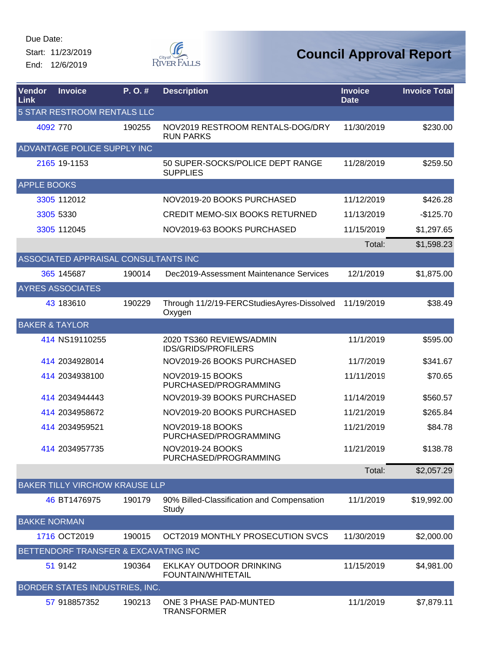Start: 11/23/2019 End: 12/6/2019



| <b>Vendor</b><br>Link     | <b>Invoice</b>                        | P.O.#  | <b>Description</b>                                     | <b>Invoice</b><br><b>Date</b> | <b>Invoice Total</b> |
|---------------------------|---------------------------------------|--------|--------------------------------------------------------|-------------------------------|----------------------|
|                           | 5 STAR RESTROOM RENTALS LLC           |        |                                                        |                               |                      |
| 4092 770                  |                                       | 190255 | NOV2019 RESTROOM RENTALS-DOG/DRY<br><b>RUN PARKS</b>   | 11/30/2019                    | \$230.00             |
|                           | ADVANTAGE POLICE SUPPLY INC           |        |                                                        |                               |                      |
|                           | 2165 19-1153                          |        | 50 SUPER-SOCKS/POLICE DEPT RANGE<br><b>SUPPLIES</b>    | 11/28/2019                    | \$259.50             |
| <b>APPLE BOOKS</b>        |                                       |        |                                                        |                               |                      |
|                           | 3305 112012                           |        | NOV2019-20 BOOKS PURCHASED                             | 11/12/2019                    | \$426.28             |
|                           | 3305 5330                             |        | <b>CREDIT MEMO-SIX BOOKS RETURNED</b>                  | 11/13/2019                    | $-$125.70$           |
|                           | 3305 112045                           |        | NOV2019-63 BOOKS PURCHASED                             | 11/15/2019                    | \$1,297.65           |
|                           |                                       |        |                                                        | Total:                        | \$1,598.23           |
|                           | ASSOCIATED APPRAISAL CONSULTANTS INC  |        |                                                        |                               |                      |
|                           | 365 145687                            | 190014 | Dec2019-Assessment Maintenance Services                | 12/1/2019                     | \$1,875.00           |
|                           | <b>AYRES ASSOCIATES</b>               |        |                                                        |                               |                      |
|                           | 43 183610                             | 190229 | Through 11/2/19-FERCStudiesAyres-Dissolved<br>Oxygen   | 11/19/2019                    | \$38.49              |
| <b>BAKER &amp; TAYLOR</b> |                                       |        |                                                        |                               |                      |
|                           | 414 NS19110255                        |        | 2020 TS360 REVIEWS/ADMIN<br><b>IDS/GRIDS/PROFILERS</b> | 11/1/2019                     | \$595.00             |
|                           | 414 2034928014                        |        | NOV2019-26 BOOKS PURCHASED                             | 11/7/2019                     | \$341.67             |
|                           | 414 2034938100                        |        | <b>NOV2019-15 BOOKS</b><br>PURCHASED/PROGRAMMING       | 11/11/2019                    | \$70.65              |
|                           | 414 2034944443                        |        | NOV2019-39 BOOKS PURCHASED                             | 11/14/2019                    | \$560.57             |
|                           | 414 2034958672                        |        | NOV2019-20 BOOKS PURCHASED                             | 11/21/2019                    | \$265.84             |
|                           | 414 2034959521                        |        | <b>NOV2019-18 BOOKS</b><br>PURCHASED/PROGRAMMING       | 11/21/2019                    | \$84.78              |
|                           | 414 2034957735                        |        | NOV2019-24 BOOKS<br>PURCHASED/PROGRAMMING              | 11/21/2019                    | \$138.78             |
|                           |                                       |        |                                                        | Total:                        | \$2,057.29           |
|                           | <b>BAKER TILLY VIRCHOW KRAUSE LLP</b> |        |                                                        |                               |                      |
|                           | 46 BT1476975                          | 190179 | 90% Billed-Classification and Compensation<br>Study    | 11/1/2019                     | \$19,992.00          |
| <b>BAKKE NORMAN</b>       |                                       |        |                                                        |                               |                      |
|                           | 1716 OCT2019                          | 190015 | OCT2019 MONTHLY PROSECUTION SVCS                       | 11/30/2019                    | \$2,000.00           |
|                           | BETTENDORF TRANSFER & EXCAVATING INC  |        |                                                        |                               |                      |
|                           | 51 9142                               | 190364 | EKLKAY OUTDOOR DRINKING<br>FOUNTAIN/WHITETAIL          | 11/15/2019                    | \$4,981.00           |
|                           | BORDER STATES INDUSTRIES, INC.        |        |                                                        |                               |                      |
|                           | 57 918857352                          | 190213 | ONE 3 PHASE PAD-MUNTED<br><b>TRANSFORMER</b>           | 11/1/2019                     | \$7,879.11           |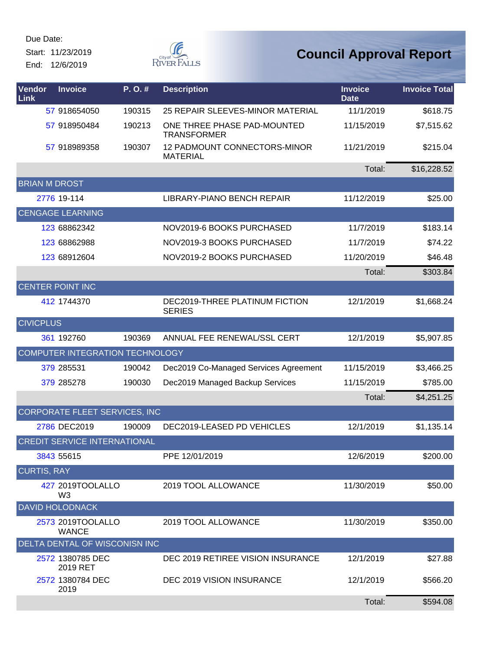Start: 11/23/2019 End: 12/6/2019



| Vendor<br>Link       | <b>Invoice</b>                      | P.O.#  | <b>Description</b>                                | <b>Invoice</b><br><b>Date</b> | <b>Invoice Total</b> |
|----------------------|-------------------------------------|--------|---------------------------------------------------|-------------------------------|----------------------|
|                      | 57 918654050                        | 190315 | 25 REPAIR SLEEVES-MINOR MATERIAL                  | 11/1/2019                     | \$618.75             |
|                      | 57 918950484                        | 190213 | ONE THREE PHASE PAD-MOUNTED<br><b>TRANSFORMER</b> | 11/15/2019                    | \$7,515.62           |
|                      | 57 918989358                        | 190307 | 12 PADMOUNT CONNECTORS-MINOR<br><b>MATERIAL</b>   | 11/21/2019                    | \$215.04             |
|                      |                                     |        |                                                   | Total:                        | \$16,228.52          |
| <b>BRIAN M DROST</b> |                                     |        |                                                   |                               |                      |
|                      | 2776 19-114                         |        | LIBRARY-PIANO BENCH REPAIR                        | 11/12/2019                    | \$25.00              |
|                      | <b>CENGAGE LEARNING</b>             |        |                                                   |                               |                      |
|                      | 123 68862342                        |        | NOV2019-6 BOOKS PURCHASED                         | 11/7/2019                     | \$183.14             |
|                      | 123 68862988                        |        | NOV2019-3 BOOKS PURCHASED                         | 11/7/2019                     | \$74.22              |
|                      | 123 68912604                        |        | NOV2019-2 BOOKS PURCHASED                         | 11/20/2019                    | \$46.48              |
|                      |                                     |        |                                                   | Total:                        | \$303.84             |
|                      | <b>CENTER POINT INC</b>             |        |                                                   |                               |                      |
|                      | 412 1744370                         |        | DEC2019-THREE PLATINUM FICTION<br><b>SERIES</b>   | 12/1/2019                     | \$1,668.24           |
| <b>CIVICPLUS</b>     |                                     |        |                                                   |                               |                      |
|                      | 361 192760                          | 190369 | ANNUAL FEE RENEWAL/SSL CERT                       | 12/1/2019                     | \$5,907.85           |
|                      | COMPUTER INTEGRATION TECHNOLOGY     |        |                                                   |                               |                      |
|                      | 379 285531                          | 190042 | Dec2019 Co-Managed Services Agreement             | 11/15/2019                    | \$3,466.25           |
|                      | 379 285278                          | 190030 | Dec2019 Managed Backup Services                   | 11/15/2019                    | \$785.00             |
|                      |                                     |        |                                                   | Total:                        | \$4,251.25           |
|                      | CORPORATE FLEET SERVICES, INC       |        |                                                   |                               |                      |
|                      | 2786 DEC2019                        | 190009 | DEC2019-LEASED PD VEHICLES                        | 12/1/2019                     | \$1,135.14           |
|                      | <b>CREDIT SERVICE INTERNATIONAL</b> |        |                                                   |                               |                      |
|                      | 3843 55615                          |        | PPE 12/01/2019                                    | 12/6/2019                     | \$200.00             |
| <b>CURTIS, RAY</b>   |                                     |        |                                                   |                               |                      |
|                      | 427 2019TOOLALLO<br>W <sub>3</sub>  |        | 2019 TOOL ALLOWANCE                               | 11/30/2019                    | \$50.00              |
|                      | <b>DAVID HOLODNACK</b>              |        |                                                   |                               |                      |
|                      | 2573 2019TOOLALLO<br><b>WANCE</b>   |        | 2019 TOOL ALLOWANCE                               | 11/30/2019                    | \$350.00             |
|                      | DELTA DENTAL OF WISCONISN INC       |        |                                                   |                               |                      |
|                      | 2572 1380785 DEC<br>2019 RET        |        | DEC 2019 RETIREE VISION INSURANCE                 | 12/1/2019                     | \$27.88              |
|                      | 2572 1380784 DEC<br>2019            |        | DEC 2019 VISION INSURANCE                         | 12/1/2019                     | \$566.20             |
|                      |                                     |        |                                                   | Total:                        | \$594.08             |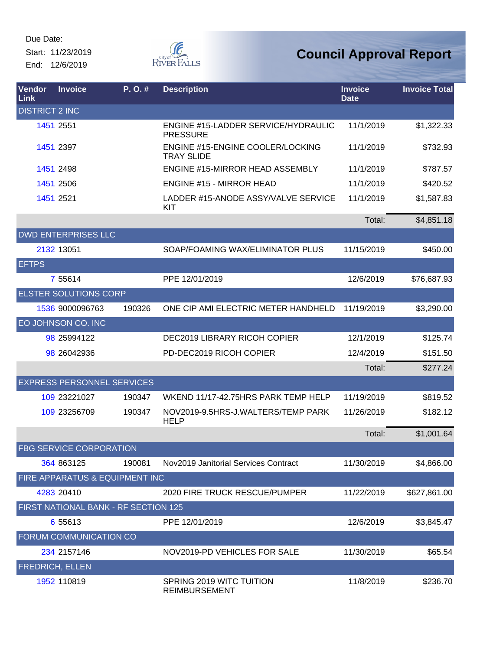Due Date: Start: 11/23/2019

End: 12/6/2019



| Vendor<br><b>Link</b> | <b>Invoice</b>                       | P. O. # | <b>Description</b>                                     | <b>Invoice</b><br><b>Date</b> | <b>Invoice Total</b> |
|-----------------------|--------------------------------------|---------|--------------------------------------------------------|-------------------------------|----------------------|
| <b>DISTRICT 2 INC</b> |                                      |         |                                                        |                               |                      |
|                       | 1451 2551                            |         | ENGINE #15-LADDER SERVICE/HYDRAULIC<br><b>PRESSURE</b> | 11/1/2019                     | \$1,322.33           |
|                       | 1451 2397                            |         | ENGINE #15-ENGINE COOLER/LOCKING<br><b>TRAY SLIDE</b>  | 11/1/2019                     | \$732.93             |
|                       | 1451 2498                            |         | <b>ENGINE #15-MIRROR HEAD ASSEMBLY</b>                 | 11/1/2019                     | \$787.57             |
|                       | 1451 2506                            |         | <b>ENGINE #15 - MIRROR HEAD</b>                        | 11/1/2019                     | \$420.52             |
|                       | 1451 2521                            |         | LADDER #15-ANODE ASSY/VALVE SERVICE<br>KIT             | 11/1/2019                     | \$1,587.83           |
|                       |                                      |         |                                                        | Total:                        | \$4,851.18           |
|                       | <b>DWD ENTERPRISES LLC</b>           |         |                                                        |                               |                      |
|                       | 2132 13051                           |         | SOAP/FOAMING WAX/ELIMINATOR PLUS                       | 11/15/2019                    | \$450.00             |
| <b>EFTPS</b>          |                                      |         |                                                        |                               |                      |
|                       | 7 55614                              |         | PPE 12/01/2019                                         | 12/6/2019                     | \$76,687.93          |
|                       | <b>ELSTER SOLUTIONS CORP</b>         |         |                                                        |                               |                      |
|                       | 1536 9000096763                      | 190326  | ONE CIP AMI ELECTRIC METER HANDHELD                    | 11/19/2019                    | \$3,290.00           |
|                       | EO JOHNSON CO. INC                   |         |                                                        |                               |                      |
|                       | 98 25994122                          |         | DEC2019 LIBRARY RICOH COPIER                           | 12/1/2019                     | \$125.74             |
|                       | 98 26042936                          |         | PD-DEC2019 RICOH COPIER                                | 12/4/2019                     | \$151.50             |
|                       |                                      |         |                                                        | Total:                        | \$277.24             |
|                       | <b>EXPRESS PERSONNEL SERVICES</b>    |         |                                                        |                               |                      |
|                       | 109 23221027                         | 190347  | WKEND 11/17-42.75HRS PARK TEMP HELP                    | 11/19/2019                    | \$819.52             |
|                       | 109 23256709                         | 190347  | NOV2019-9.5HRS-J.WALTERS/TEMP PARK<br><b>HELP</b>      | 11/26/2019                    | \$182.12             |
|                       |                                      |         |                                                        | Total:                        | \$1,001.64           |
|                       | <b>FBG SERVICE CORPORATION</b>       |         |                                                        |                               |                      |
|                       | 364 863125                           | 190081  | Nov2019 Janitorial Services Contract                   | 11/30/2019                    | \$4,866.00           |
|                       | FIRE APPARATUS & EQUIPMENT INC       |         |                                                        |                               |                      |
|                       | 4283 20410                           |         | 2020 FIRE TRUCK RESCUE/PUMPER                          | 11/22/2019                    | \$627,861.00         |
|                       | FIRST NATIONAL BANK - RF SECTION 125 |         |                                                        |                               |                      |
|                       | 6 55613                              |         | PPE 12/01/2019                                         | 12/6/2019                     | \$3,845.47           |
|                       | FORUM COMMUNICATION CO               |         |                                                        |                               |                      |
|                       | 234 2157146                          |         | NOV2019-PD VEHICLES FOR SALE                           | 11/30/2019                    | \$65.54              |
|                       | <b>FREDRICH, ELLEN</b>               |         |                                                        |                               |                      |
|                       | 1952 110819                          |         | SPRING 2019 WITC TUITION<br><b>REIMBURSEMENT</b>       | 11/8/2019                     | \$236.70             |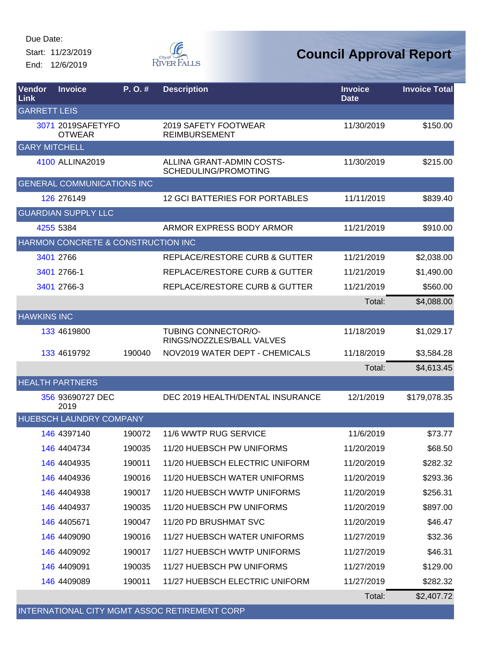Start: 11/23/2019 End: 12/6/2019



| Vendor<br>Link       | <b>Invoice</b>                     | P. O. # | <b>Description</b>                                      | <b>Invoice</b><br><b>Date</b> | <b>Invoice Total</b> |
|----------------------|------------------------------------|---------|---------------------------------------------------------|-------------------------------|----------------------|
| <b>GARRETT LEIS</b>  |                                    |         |                                                         |                               |                      |
|                      | 3071 2019SAFETYFO<br><b>OTWEAR</b> |         | 2019 SAFETY FOOTWEAR<br><b>REIMBURSEMENT</b>            | 11/30/2019                    | \$150.00             |
| <b>GARY MITCHELL</b> |                                    |         |                                                         |                               |                      |
|                      | 4100 ALLINA2019                    |         | ALLINA GRANT-ADMIN COSTS-<br>SCHEDULING/PROMOTING       | 11/30/2019                    | \$215.00             |
|                      | <b>GENERAL COMMUNICATIONS INC</b>  |         |                                                         |                               |                      |
|                      | 126 276149                         |         | <b>12 GCI BATTERIES FOR PORTABLES</b>                   | 11/11/2019                    | \$839.40             |
|                      | <b>GUARDIAN SUPPLY LLC</b>         |         |                                                         |                               |                      |
|                      | 4255 5384                          |         | ARMOR EXPRESS BODY ARMOR                                | 11/21/2019                    | \$910.00             |
|                      | HARMON CONCRETE & CONSTRUCTION INC |         |                                                         |                               |                      |
|                      | 3401 2766                          |         | REPLACE/RESTORE CURB & GUTTER                           | 11/21/2019                    | \$2,038.00           |
|                      | 3401 2766-1                        |         | <b>REPLACE/RESTORE CURB &amp; GUTTER</b>                | 11/21/2019                    | \$1,490.00           |
|                      | 3401 2766-3                        |         | <b>REPLACE/RESTORE CURB &amp; GUTTER</b>                | 11/21/2019                    | \$560.00             |
|                      |                                    |         |                                                         | Total:                        | \$4,088.00           |
| <b>HAWKINS INC</b>   |                                    |         |                                                         |                               |                      |
|                      | 133 4619800                        |         | <b>TUBING CONNECTOR/O-</b><br>RINGS/NOZZLES/BALL VALVES | 11/18/2019                    | \$1,029.17           |
|                      | 133 4619792                        | 190040  | NOV2019 WATER DEPT - CHEMICALS                          | 11/18/2019                    | \$3,584.28           |
|                      |                                    |         |                                                         | Total:                        | \$4,613.45           |
|                      | <b>HEALTH PARTNERS</b>             |         |                                                         |                               |                      |
|                      | 356 93690727 DEC<br>2019           |         | DEC 2019 HEALTH/DENTAL INSURANCE                        | 12/1/2019                     | \$179,078.35         |
|                      | <b>HUEBSCH LAUNDRY COMPANY</b>     |         |                                                         |                               |                      |
|                      | 146 4397140                        | 190072  | 11/6 WWTP RUG SERVICE                                   | 11/6/2019                     | \$73.77              |
|                      | 146 4404734                        | 190035  | 11/20 HUEBSCH PW UNIFORMS                               | 11/20/2019                    | \$68.50              |
|                      | 146 4404935                        | 190011  | 11/20 HUEBSCH ELECTRIC UNIFORM                          | 11/20/2019                    | \$282.32             |
|                      | 146 4404936                        | 190016  | 11/20 HUEBSCH WATER UNIFORMS                            | 11/20/2019                    | \$293.36             |
|                      | 146 4404938                        | 190017  | 11/20 HUEBSCH WWTP UNIFORMS                             | 11/20/2019                    | \$256.31             |
|                      | 146 4404937                        | 190035  | 11/20 HUEBSCH PW UNIFORMS                               | 11/20/2019                    | \$897.00             |
|                      | 146 4405671                        | 190047  | 11/20 PD BRUSHMAT SVC                                   | 11/20/2019                    | \$46.47              |
|                      | 146 4409090                        | 190016  | 11/27 HUEBSCH WATER UNIFORMS                            | 11/27/2019                    | \$32.36              |
|                      | 146 4409092                        | 190017  | 11/27 HUEBSCH WWTP UNIFORMS                             | 11/27/2019                    | \$46.31              |
|                      | 146 4409091                        | 190035  | 11/27 HUEBSCH PW UNIFORMS                               | 11/27/2019                    | \$129.00             |
|                      | 146 4409089                        | 190011  | 11/27 HUEBSCH ELECTRIC UNIFORM                          | 11/27/2019                    | \$282.32             |
|                      |                                    |         |                                                         | Total:                        | \$2,407.72           |
|                      |                                    |         | INTERNATIONAL CITY MGMT ASSOC RETIREMENT CORP           |                               |                      |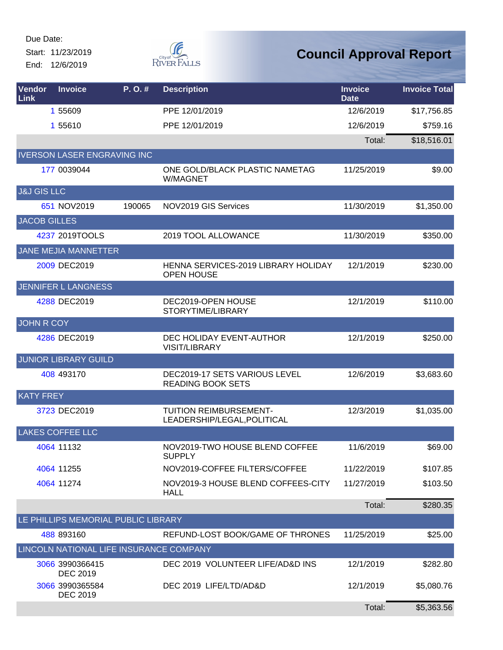Start: 11/23/2019 End: 12/6/2019



| Vendor<br>Link         | <b>Invoice</b>                     | P.O.#                                   | <b>Description</b>                                        | <b>Invoice</b><br><b>Date</b> | <b>Invoice Total</b> |
|------------------------|------------------------------------|-----------------------------------------|-----------------------------------------------------------|-------------------------------|----------------------|
|                        | 1 55609                            |                                         | PPE 12/01/2019                                            | 12/6/2019                     | \$17,756.85          |
|                        | 1 55610                            |                                         | PPE 12/01/2019                                            | 12/6/2019                     | \$759.16             |
|                        |                                    |                                         |                                                           | Total:                        | \$18,516.01          |
|                        |                                    | <b>IVERSON LASER ENGRAVING INC</b>      |                                                           |                               |                      |
|                        | 177 0039044                        |                                         | ONE GOLD/BLACK PLASTIC NAMETAG<br><b>W/MAGNET</b>         | 11/25/2019                    | \$9.00               |
| <b>J&amp;J GIS LLC</b> |                                    |                                         |                                                           |                               |                      |
|                        | 651 NOV2019                        | 190065                                  | NOV2019 GIS Services                                      | 11/30/2019                    | \$1,350.00           |
| <b>JACOB GILLES</b>    |                                    |                                         |                                                           |                               |                      |
|                        | 4237 2019TOOLS                     |                                         | 2019 TOOL ALLOWANCE                                       | 11/30/2019                    | \$350.00             |
|                        | JANE MEJIA MANNETTER               |                                         |                                                           |                               |                      |
|                        | 2009 DEC2019                       |                                         | HENNA SERVICES-2019 LIBRARY HOLIDAY<br><b>OPEN HOUSE</b>  | 12/1/2019                     | \$230.00             |
|                        | <b>JENNIFER L LANGNESS</b>         |                                         |                                                           |                               |                      |
|                        | 4288 DEC2019                       |                                         | DEC2019-OPEN HOUSE<br>STORYTIME/LIBRARY                   | 12/1/2019                     | \$110.00             |
| <b>JOHN R COY</b>      |                                    |                                         |                                                           |                               |                      |
|                        | 4286 DEC2019                       |                                         | DEC HOLIDAY EVENT-AUTHOR<br><b>VISIT/LIBRARY</b>          | 12/1/2019                     | \$250.00             |
|                        | <b>JUNIOR LIBRARY GUILD</b>        |                                         |                                                           |                               |                      |
|                        | 408 493170                         |                                         | DEC2019-17 SETS VARIOUS LEVEL<br><b>READING BOOK SETS</b> | 12/6/2019                     | \$3,683.60           |
| <b>KATY FREY</b>       |                                    |                                         |                                                           |                               |                      |
|                        | 3723 DEC2019                       |                                         | TUITION REIMBURSEMENT-<br>LEADERSHIP/LEGAL, POLITICAL     | 12/3/2019                     | \$1,035.00           |
|                        | <b>LAKES COFFEE LLC</b>            |                                         |                                                           |                               |                      |
|                        | 4064 11132                         |                                         | NOV2019-TWO HOUSE BLEND COFFEE<br><b>SUPPLY</b>           | 11/6/2019                     | \$69.00              |
|                        | 4064 11255                         |                                         | NOV2019-COFFEE FILTERS/COFFEE                             | 11/22/2019                    | \$107.85             |
|                        | 4064 11274                         |                                         | NOV2019-3 HOUSE BLEND COFFEES-CITY<br><b>HALL</b>         | 11/27/2019                    | \$103.50             |
|                        |                                    |                                         |                                                           | Total:                        | \$280.35             |
|                        |                                    | LE PHILLIPS MEMORIAL PUBLIC LIBRARY     |                                                           |                               |                      |
|                        | 488 893160                         |                                         | REFUND-LOST BOOK/GAME OF THRONES                          | 11/25/2019                    | \$25.00              |
|                        |                                    | LINCOLN NATIONAL LIFE INSURANCE COMPANY |                                                           |                               |                      |
|                        | 3066 3990366415<br><b>DEC 2019</b> |                                         | DEC 2019 VOLUNTEER LIFE/AD&D INS                          | 12/1/2019                     | \$282.80             |
|                        | 3066 3990365584<br><b>DEC 2019</b> |                                         | DEC 2019 LIFE/LTD/AD&D                                    | 12/1/2019                     | \$5,080.76           |
|                        |                                    |                                         |                                                           | Total:                        | \$5,363.56           |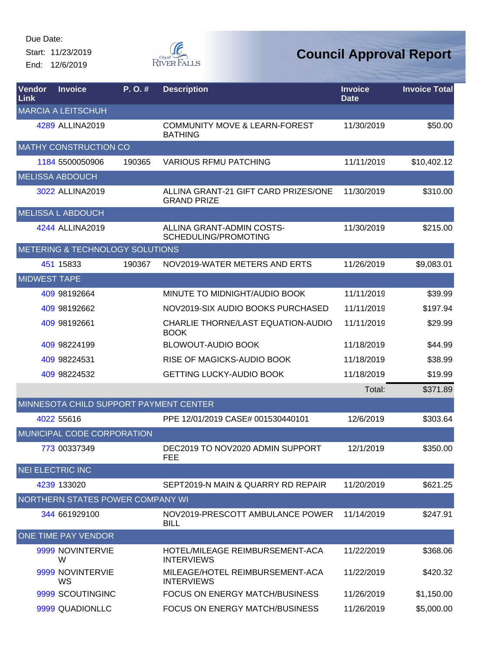Start: 11/23/2019 End: 12/6/2019



| Vendor<br>Link      | <b>Invoice</b>                         | P. O. # | <b>Description</b>                                         | <b>Invoice</b><br><b>Date</b> | <b>Invoice Total</b> |
|---------------------|----------------------------------------|---------|------------------------------------------------------------|-------------------------------|----------------------|
|                     | <b>MARCIA A LEITSCHUH</b>              |         |                                                            |                               |                      |
|                     | 4289 ALLINA2019                        |         | <b>COMMUNITY MOVE &amp; LEARN-FOREST</b><br><b>BATHING</b> | 11/30/2019                    | \$50.00              |
|                     | <b>MATHY CONSTRUCTION CO</b>           |         |                                                            |                               |                      |
|                     | 1184 5500050906                        | 190365  | <b>VARIOUS RFMU PATCHING</b>                               | 11/11/2019                    | \$10,402.12          |
|                     | <b>MELISSA ABDOUCH</b>                 |         |                                                            |                               |                      |
|                     | 3022 ALLINA2019                        |         | ALLINA GRANT-21 GIFT CARD PRIZES/ONE<br><b>GRAND PRIZE</b> | 11/30/2019                    | \$310.00             |
|                     | <b>MELISSA L ABDOUCH</b>               |         |                                                            |                               |                      |
|                     | 4244 ALLINA2019                        |         | ALLINA GRANT-ADMIN COSTS-<br>SCHEDULING/PROMOTING          | 11/30/2019                    | \$215.00             |
|                     | METERING & TECHNOLOGY SOLUTIONS        |         |                                                            |                               |                      |
|                     | 451 15833                              | 190367  | NOV2019-WATER METERS AND ERTS                              | 11/26/2019                    | \$9,083.01           |
| <b>MIDWEST TAPE</b> |                                        |         |                                                            |                               |                      |
|                     | 409 98192664                           |         | MINUTE TO MIDNIGHT/AUDIO BOOK                              | 11/11/2019                    | \$39.99              |
|                     | 409 98192662                           |         | NOV2019-SIX AUDIO BOOKS PURCHASED                          | 11/11/2019                    | \$197.94             |
|                     | 409 98192661                           |         | CHARLIE THORNE/LAST EQUATION-AUDIO<br><b>BOOK</b>          | 11/11/2019                    | \$29.99              |
|                     | 409 98224199                           |         | <b>BLOWOUT-AUDIO BOOK</b>                                  | 11/18/2019                    | \$44.99              |
|                     | 409 98224531                           |         | RISE OF MAGICKS-AUDIO BOOK                                 | 11/18/2019                    | \$38.99              |
|                     | 409 98224532                           |         | <b>GETTING LUCKY-AUDIO BOOK</b>                            | 11/18/2019                    | \$19.99              |
|                     |                                        |         |                                                            | Total:                        | \$371.89             |
|                     | MINNESOTA CHILD SUPPORT PAYMENT CENTER |         |                                                            |                               |                      |
|                     | 4022 55616                             |         | PPE 12/01/2019 CASE# 001530440101                          | 12/6/2019                     | \$303.64             |
|                     | MUNICIPAL CODE CORPORATION             |         |                                                            |                               |                      |
|                     | 773 00337349                           |         | DEC2019 TO NOV2020 ADMIN SUPPORT<br><b>FEE</b>             | 12/1/2019                     | \$350.00             |
|                     | <b>NEI ELECTRIC INC</b>                |         |                                                            |                               |                      |
|                     | 4239 133020                            |         | SEPT2019-N MAIN & QUARRY RD REPAIR                         | 11/20/2019                    | \$621.25             |
|                     | NORTHERN STATES POWER COMPANY WI       |         |                                                            |                               |                      |
|                     | 344 661929100                          |         | NOV2019-PRESCOTT AMBULANCE POWER<br><b>BILL</b>            | 11/14/2019                    | \$247.91             |
|                     | <b>ONE TIME PAY VENDOR</b>             |         |                                                            |                               |                      |
|                     | 9999 NOVINTERVIE<br>W                  |         | HOTEL/MILEAGE REIMBURSEMENT-ACA<br><b>INTERVIEWS</b>       | 11/22/2019                    | \$368.06             |
|                     | 9999 NOVINTERVIE<br>WS                 |         | MILEAGE/HOTEL REIMBURSEMENT-ACA<br><b>INTERVIEWS</b>       | 11/22/2019                    | \$420.32             |
|                     | 9999 SCOUTINGINC                       |         | <b>FOCUS ON ENERGY MATCH/BUSINESS</b>                      | 11/26/2019                    | \$1,150.00           |
|                     | 9999 QUADIONLLC                        |         | <b>FOCUS ON ENERGY MATCH/BUSINESS</b>                      | 11/26/2019                    | \$5,000.00           |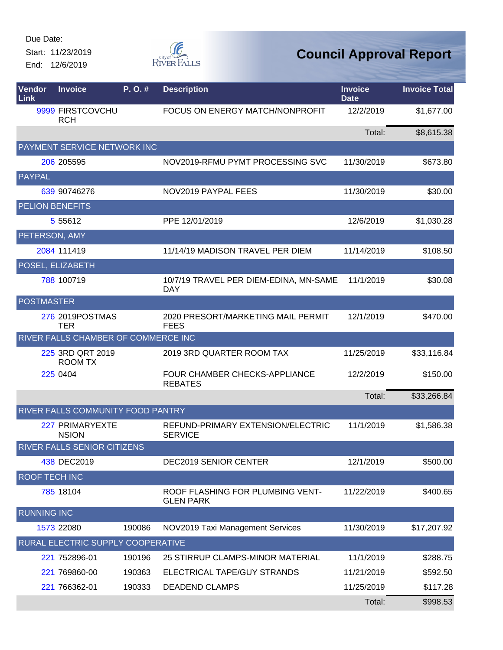Start: 11/23/2019 End: 12/6/2019



| Vendor<br>Link       | <b>Invoice</b>                             | P.O.#  | <b>Description</b>                                   | <b>Invoice</b><br><b>Date</b> | <b>Invoice Total</b> |
|----------------------|--------------------------------------------|--------|------------------------------------------------------|-------------------------------|----------------------|
|                      | 9999 FIRSTCOVCHU<br><b>RCH</b>             |        | FOCUS ON ENERGY MATCH/NONPROFIT                      | 12/2/2019                     | \$1,677.00           |
|                      |                                            |        |                                                      | Total:                        | \$8,615.38           |
|                      | PAYMENT SERVICE NETWORK INC                |        |                                                      |                               |                      |
|                      | 206 205595                                 |        | NOV2019-RFMU PYMT PROCESSING SVC                     | 11/30/2019                    | \$673.80             |
| PAYPAL               |                                            |        |                                                      |                               |                      |
|                      | 639 90746276                               |        | NOV2019 PAYPAL FEES                                  | 11/30/2019                    | \$30.00              |
|                      | <b>PELION BENEFITS</b>                     |        |                                                      |                               |                      |
|                      | 5 5 5 6 1 2                                |        | PPE 12/01/2019                                       | 12/6/2019                     | \$1,030.28           |
| PETERSON, AMY        |                                            |        |                                                      |                               |                      |
|                      | 2084 111419                                |        | 11/14/19 MADISON TRAVEL PER DIEM                     | 11/14/2019                    | \$108.50             |
|                      | POSEL, ELIZABETH                           |        |                                                      |                               |                      |
|                      | 788 100719                                 |        | 10/7/19 TRAVEL PER DIEM-EDINA, MN-SAME<br><b>DAY</b> | 11/1/2019                     | \$30.08              |
| <b>POSTMASTER</b>    |                                            |        |                                                      |                               |                      |
|                      | 276 2019POSTMAS<br><b>TER</b>              |        | 2020 PRESORT/MARKETING MAIL PERMIT<br><b>FEES</b>    | 12/1/2019                     | \$470.00             |
|                      | <b>RIVER FALLS CHAMBER OF COMMERCE INC</b> |        |                                                      |                               |                      |
|                      | 225 3RD QRT 2019<br><b>ROOM TX</b>         |        | 2019 3RD QUARTER ROOM TAX                            | 11/25/2019                    | \$33,116.84          |
|                      | 225 0404                                   |        | FOUR CHAMBER CHECKS-APPLIANCE<br><b>REBATES</b>      | 12/2/2019                     | \$150.00             |
|                      |                                            |        |                                                      | Total:                        | \$33,266.84          |
|                      | RIVER FALLS COMMUNITY FOOD PANTRY          |        |                                                      |                               |                      |
|                      | 227 PRIMARYEXTE<br><b>NSION</b>            |        | REFUND-PRIMARY EXTENSION/ELECTRIC<br><b>SERVICE</b>  | 11/1/2019                     | \$1,586.38           |
|                      | <b>RIVER FALLS SENIOR CITIZENS</b>         |        |                                                      |                               |                      |
|                      | 438 DEC2019                                |        | DEC2019 SENIOR CENTER                                | 12/1/2019                     | \$500.00             |
| <b>ROOF TECH INC</b> |                                            |        |                                                      |                               |                      |
|                      | 785 18104                                  |        | ROOF FLASHING FOR PLUMBING VENT-<br><b>GLEN PARK</b> | 11/22/2019                    | \$400.65             |
| <b>RUNNING INC</b>   |                                            |        |                                                      |                               |                      |
|                      | 1573 22080                                 | 190086 | NOV2019 Taxi Management Services                     | 11/30/2019                    | \$17,207.92          |
|                      | RURAL ELECTRIC SUPPLY COOPERATIVE          |        |                                                      |                               |                      |
|                      | 221 752896-01                              | 190196 | 25 STIRRUP CLAMPS-MINOR MATERIAL                     | 11/1/2019                     | \$288.75             |
|                      | 221 769860-00                              | 190363 | ELECTRICAL TAPE/GUY STRANDS                          | 11/21/2019                    | \$592.50             |
|                      | 221 766362-01                              | 190333 | <b>DEADEND CLAMPS</b>                                | 11/25/2019                    | \$117.28             |
|                      |                                            |        |                                                      | Total:                        | \$998.53             |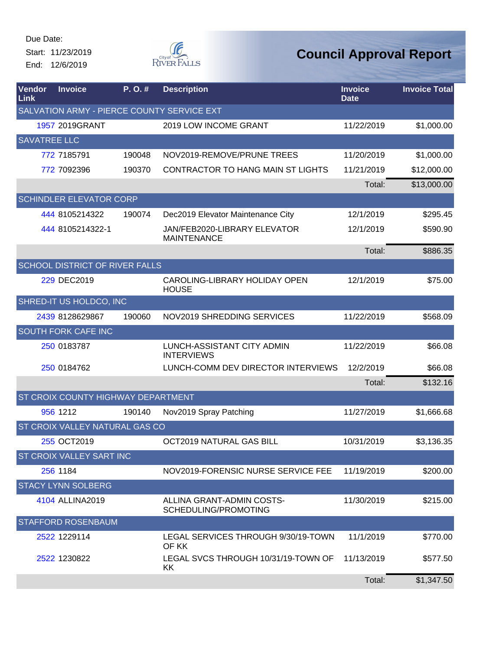Start: 11/23/2019 End: 12/6/2019



| Vendor<br>Link      | <b>Invoice</b>                        | P.O.#  | <b>Description</b>                                 | <b>Invoice</b><br><b>Date</b> | <b>Invoice Total</b> |
|---------------------|---------------------------------------|--------|----------------------------------------------------|-------------------------------|----------------------|
|                     |                                       |        | SALVATION ARMY - PIERCE COUNTY SERVICE EXT         |                               |                      |
|                     | 1957 2019GRANT                        |        | 2019 LOW INCOME GRANT                              | 11/22/2019                    | \$1,000.00           |
| <b>SAVATREE LLC</b> |                                       |        |                                                    |                               |                      |
|                     | 772 7185791                           | 190048 | NOV2019-REMOVE/PRUNE TREES                         | 11/20/2019                    | \$1,000.00           |
|                     | 772 7092396                           | 190370 | CONTRACTOR TO HANG MAIN ST LIGHTS                  | 11/21/2019                    | \$12,000.00          |
|                     |                                       |        |                                                    | Total:                        | \$13,000.00          |
|                     | <b>SCHINDLER ELEVATOR CORP</b>        |        |                                                    |                               |                      |
|                     | 444 8105214322                        | 190074 | Dec2019 Elevator Maintenance City                  | 12/1/2019                     | \$295.45             |
|                     | 444 8105214322-1                      |        | JAN/FEB2020-LIBRARY ELEVATOR<br><b>MAINTENANCE</b> | 12/1/2019                     | \$590.90             |
|                     |                                       |        |                                                    | Total:                        | \$886.35             |
|                     | <b>SCHOOL DISTRICT OF RIVER FALLS</b> |        |                                                    |                               |                      |
|                     | 229 DEC2019                           |        | CAROLING-LIBRARY HOLIDAY OPEN<br><b>HOUSE</b>      | 12/1/2019                     | \$75.00              |
|                     | SHRED-IT US HOLDCO, INC               |        |                                                    |                               |                      |
|                     | 2439 8128629867                       | 190060 | NOV2019 SHREDDING SERVICES                         | 11/22/2019                    | \$568.09             |
|                     | <b>SOUTH FORK CAFE INC</b>            |        |                                                    |                               |                      |
|                     | 250 0183787                           |        | LUNCH-ASSISTANT CITY ADMIN<br><b>INTERVIEWS</b>    | 11/22/2019                    | \$66.08              |
|                     | 250 0184762                           |        | LUNCH-COMM DEV DIRECTOR INTERVIEWS                 | 12/2/2019                     | \$66.08              |
|                     |                                       |        |                                                    | Total:                        | \$132.16             |
|                     | ST CROIX COUNTY HIGHWAY DEPARTMENT    |        |                                                    |                               |                      |
|                     | 956 1212                              | 190140 | Nov2019 Spray Patching                             | 11/27/2019                    | \$1,666.68           |
|                     | ST CROIX VALLEY NATURAL GAS CO        |        |                                                    |                               |                      |
|                     | 255 OCT2019                           |        | OCT2019 NATURAL GAS BILL                           | 10/31/2019                    | \$3,136.35           |
|                     | ST CROIX VALLEY SART INC              |        |                                                    |                               |                      |
|                     | 256 1184                              |        | NOV2019-FORENSIC NURSE SERVICE FEE                 | 11/19/2019                    | \$200.00             |
|                     | <b>STACY LYNN SOLBERG</b>             |        |                                                    |                               |                      |
|                     | 4104 ALLINA2019                       |        | ALLINA GRANT-ADMIN COSTS-<br>SCHEDULING/PROMOTING  | 11/30/2019                    | \$215.00             |
|                     | <b>STAFFORD ROSENBAUM</b>             |        |                                                    |                               |                      |
|                     | 2522 1229114                          |        | LEGAL SERVICES THROUGH 9/30/19-TOWN<br>OF KK       | 11/1/2019                     | \$770.00             |
|                     | 2522 1230822                          |        | LEGAL SVCS THROUGH 10/31/19-TOWN OF<br>KK.         | 11/13/2019                    | \$577.50             |
|                     |                                       |        |                                                    | Total:                        | \$1,347.50           |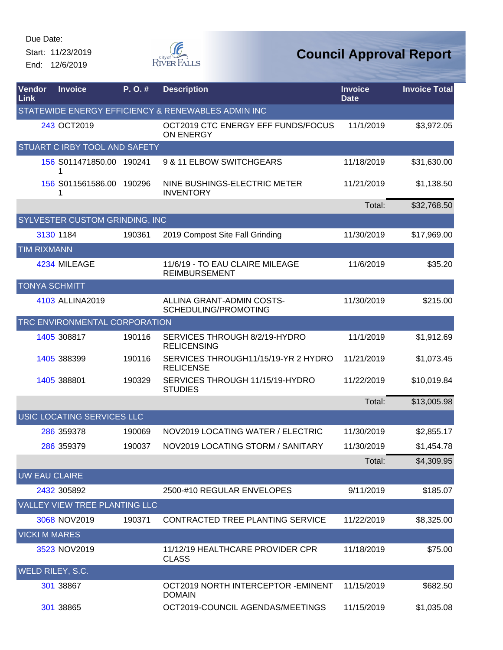Start: 11/23/2019 End: 12/6/2019



| Vendor<br>Link     | <b>Invoice</b>                 | P.O.#  | <b>Description</b>                                      | <b>Invoice</b><br><b>Date</b> | <b>Invoice Total</b> |
|--------------------|--------------------------------|--------|---------------------------------------------------------|-------------------------------|----------------------|
|                    |                                |        | STATEWIDE ENERGY EFFICIENCY & RENEWABLES ADMIN INC      |                               |                      |
|                    | 243 OCT2019                    |        | OCT2019 CTC ENERGY EFF FUNDS/FOCUS<br><b>ON ENERGY</b>  | 11/1/2019                     | \$3,972.05           |
|                    | STUART C IRBY TOOL AND SAFETY  |        |                                                         |                               |                      |
|                    | 156 S011471850.00 190241<br>1  |        | 9 & 11 ELBOW SWITCHGEARS                                | 11/18/2019                    | \$31,630.00          |
|                    | 156 S011561586.00 190296<br>1  |        | NINE BUSHINGS-ELECTRIC METER<br><b>INVENTORY</b>        | 11/21/2019                    | \$1,138.50           |
|                    |                                |        |                                                         | Total:                        | \$32,768.50          |
|                    | SYLVESTER CUSTOM GRINDING, INC |        |                                                         |                               |                      |
|                    | 3130 1184                      | 190361 | 2019 Compost Site Fall Grinding                         | 11/30/2019                    | \$17,969.00          |
| <b>TIM RIXMANN</b> |                                |        |                                                         |                               |                      |
|                    | 4234 MILEAGE                   |        | 11/6/19 - TO EAU CLAIRE MILEAGE<br><b>REIMBURSEMENT</b> | 11/6/2019                     | \$35.20              |
|                    | <b>TONYA SCHMITT</b>           |        |                                                         |                               |                      |
|                    | 4103 ALLINA2019                |        | ALLINA GRANT-ADMIN COSTS-<br>SCHEDULING/PROMOTING       | 11/30/2019                    | \$215.00             |
|                    | TRC ENVIRONMENTAL CORPORATION  |        |                                                         |                               |                      |
|                    | 1405 308817                    | 190116 | SERVICES THROUGH 8/2/19-HYDRO<br><b>RELICENSING</b>     | 11/1/2019                     | \$1,912.69           |
|                    | 1405 388399                    | 190116 | SERVICES THROUGH11/15/19-YR 2 HYDRO<br><b>RELICENSE</b> | 11/21/2019                    | \$1,073.45           |
|                    | 1405 388801                    | 190329 | SERVICES THROUGH 11/15/19-HYDRO<br><b>STUDIES</b>       | 11/22/2019                    | \$10,019.84          |
|                    |                                |        |                                                         | Total:                        | \$13,005.98          |
|                    | USIC LOCATING SERVICES LLC     |        |                                                         |                               |                      |
|                    | 286 359378                     | 190069 | NOV2019 LOCATING WATER / ELECTRIC                       | 11/30/2019                    | \$2,855.17           |
|                    | 286 359379                     | 190037 | NOV2019 LOCATING STORM / SANITARY                       | 11/30/2019                    | \$1,454.78           |
|                    |                                |        |                                                         | Total:                        | \$4,309.95           |
|                    | <b>UW EAU CLAIRE</b>           |        |                                                         |                               |                      |
|                    | 2432 305892                    |        | 2500-#10 REGULAR ENVELOPES                              | 9/11/2019                     | \$185.07             |
|                    | VALLEY VIEW TREE PLANTING LLC  |        |                                                         |                               |                      |
|                    | 3068 NOV2019                   | 190371 | <b>CONTRACTED TREE PLANTING SERVICE</b>                 | 11/22/2019                    | \$8,325.00           |
|                    | <b>VICKI M MARES</b>           |        |                                                         |                               |                      |
|                    | 3523 NOV2019                   |        | 11/12/19 HEALTHCARE PROVIDER CPR<br><b>CLASS</b>        | 11/18/2019                    | \$75.00              |
|                    | WELD RILEY, S.C.               |        |                                                         |                               |                      |
|                    | 301 38867                      |        | OCT2019 NORTH INTERCEPTOR - EMINENT<br><b>DOMAIN</b>    | 11/15/2019                    | \$682.50             |
|                    | 301 38865                      |        | OCT2019-COUNCIL AGENDAS/MEETINGS                        | 11/15/2019                    | \$1,035.08           |